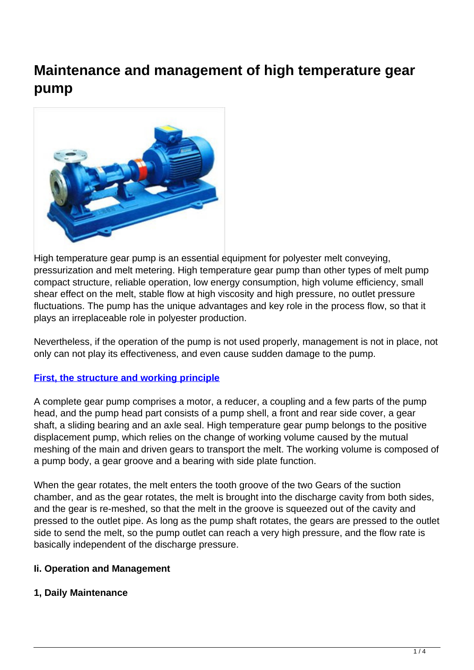# **Maintenance and management of high temperature gear pump**



High temperature gear pump is an essential equipment for polyester melt conveying. pressurization and melt metering. High temperature gear pump than other types of melt pump compact structure, reliable operation, low energy consumption, high volume efficiency, small shear effect on the melt, stable flow at high viscosity and high pressure, no outlet pressure fluctuations. The pump has the unique advantages and key role in the process flow, so that it plays an irreplaceable role in polyester production.

Nevertheless, if the operation of the pump is not used properly, management is not in place, not only can not play its effectiveness, and even cause sudden damage to the pump.

### **[First, the structure and working principle](http://www.part-komatsu.com)**

A complete gear pump comprises a motor, a reducer, a coupling and a few parts of the pump head, and the pump head part consists of a pump shell, a front and rear side cover, a gear shaft, a sliding bearing and an axle seal. High temperature gear pump belongs to the positive displacement pump, which relies on the change of working volume caused by the mutual meshing of the main and driven gears to transport the melt. The working volume is composed of a pump body, a gear groove and a bearing with side plate function.

When the gear rotates, the melt enters the tooth groove of the two Gears of the suction chamber, and as the gear rotates, the melt is brought into the discharge cavity from both sides, and the gear is re-meshed, so that the melt in the groove is squeezed out of the cavity and pressed to the outlet pipe. As long as the pump shaft rotates, the gears are pressed to the outlet side to send the melt, so the pump outlet can reach a very high pressure, and the flow rate is basically independent of the discharge pressure.

### **Ii. Operation and Management**

### **1, Daily Maintenance**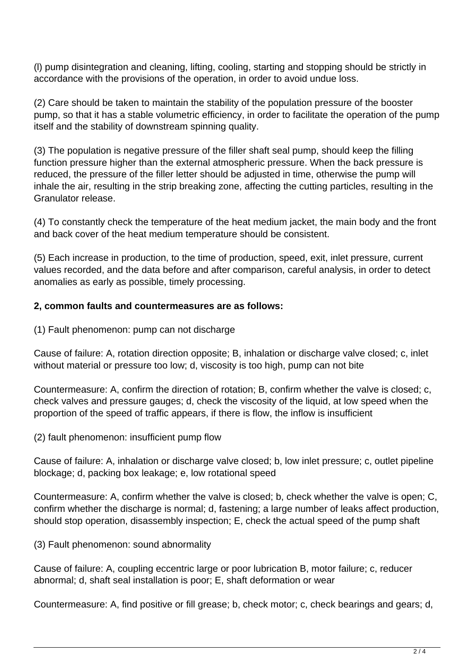(l) pump disintegration and cleaning, lifting, cooling, starting and stopping should be strictly in accordance with the provisions of the operation, in order to avoid undue loss.

(2) Care should be taken to maintain the stability of the population pressure of the booster pump, so that it has a stable volumetric efficiency, in order to facilitate the operation of the pump itself and the stability of downstream spinning quality.

(3) The population is negative pressure of the filler shaft seal pump, should keep the filling function pressure higher than the external atmospheric pressure. When the back pressure is reduced, the pressure of the filler letter should be adjusted in time, otherwise the pump will inhale the air, resulting in the strip breaking zone, affecting the cutting particles, resulting in the Granulator release.

(4) To constantly check the temperature of the heat medium jacket, the main body and the front and back cover of the heat medium temperature should be consistent.

(5) Each increase in production, to the time of production, speed, exit, inlet pressure, current values recorded, and the data before and after comparison, careful analysis, in order to detect anomalies as early as possible, timely processing.

## **2, common faults and countermeasures are as follows:**

(1) Fault phenomenon: pump can not discharge

Cause of failure: A, rotation direction opposite; B, inhalation or discharge valve closed; c, inlet without material or pressure too low; d, viscosity is too high, pump can not bite

Countermeasure: A, confirm the direction of rotation; B, confirm whether the valve is closed; c, check valves and pressure gauges; d, check the viscosity of the liquid, at low speed when the proportion of the speed of traffic appears, if there is flow, the inflow is insufficient

(2) fault phenomenon: insufficient pump flow

Cause of failure: A, inhalation or discharge valve closed; b, low inlet pressure; c, outlet pipeline blockage; d, packing box leakage; e, low rotational speed

Countermeasure: A, confirm whether the valve is closed; b, check whether the valve is open; C, confirm whether the discharge is normal; d, fastening; a large number of leaks affect production, should stop operation, disassembly inspection; E, check the actual speed of the pump shaft

(3) Fault phenomenon: sound abnormality

Cause of failure: A, coupling eccentric large or poor lubrication B, motor failure; c, reducer abnormal; d, shaft seal installation is poor; E, shaft deformation or wear

Countermeasure: A, find positive or fill grease; b, check motor; c, check bearings and gears; d,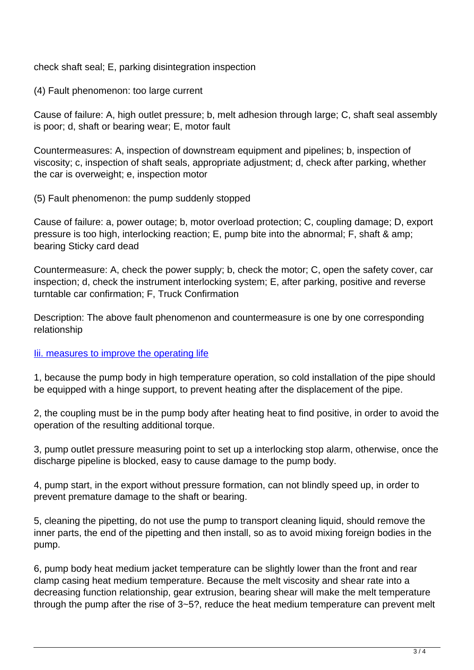check shaft seal; E, parking disintegration inspection

(4) Fault phenomenon: too large current

Cause of failure: A, high outlet pressure; b, melt adhesion through large; C, shaft seal assembly is poor; d, shaft or bearing wear; E, motor fault

Countermeasures: A, inspection of downstream equipment and pipelines; b, inspection of viscosity; c, inspection of shaft seals, appropriate adjustment; d, check after parking, whether the car is overweight; e, inspection motor

(5) Fault phenomenon: the pump suddenly stopped

Cause of failure: a, power outage; b, motor overload protection; C, coupling damage; D, export pressure is too high, interlocking reaction; E, pump bite into the abnormal; F, shaft & amp; bearing Sticky card dead

Countermeasure: A, check the power supply; b, check the motor; C, open the safety cover, car inspection; d, check the instrument interlocking system; E, after parking, positive and reverse turntable car confirmation; F, Truck Confirmation

Description: The above fault phenomenon and countermeasure is one by one corresponding relationship

### lii. measures to improve the operating life

1, because the pump body in high temperature operation, so cold installation of the pipe should be equipped with a hinge support, to prevent heating after the displacement of the pipe.

2, the coupling must be in the pump body after heating heat to find positive, in order to avoid the operation of the resulting additional torque.

3, pump outlet pressure measuring point to set up a interlocking stop alarm, otherwise, once the discharge pipeline is blocked, easy to cause damage to the pump body.

4, pump start, in the export without pressure formation, can not blindly speed up, in order to prevent premature damage to the shaft or bearing.

5, cleaning the pipetting, do not use the pump to transport cleaning liquid, should remove the inner parts, the end of the pipetting and then install, so as to avoid mixing foreign bodies in the pump.

6, pump body heat medium jacket temperature can be slightly lower than the front and rear clamp casing heat medium temperature. Because the melt viscosity and shear rate into a decreasing function relationship, gear extrusion, bearing shear will make the melt temperature through the pump after the rise of 3~5?, reduce the heat medium temperature can prevent melt